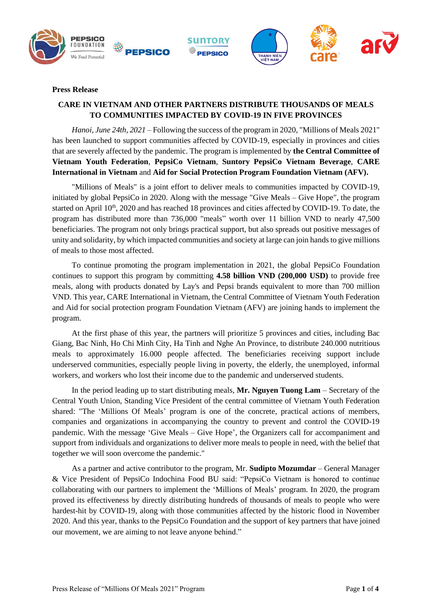



# **Press Release**

# **CARE IN VIETNAM AND OTHER PARTNERS DISTRIBUTE THOUSANDS OF MEALS TO COMMUNITIES IMPACTED BY COVID-19 IN FIVE PROVINCES**

*Hanoi, June 24th, 2021* – Following the success of the program in 2020, "Millions of Meals 2021" has been launched to support communities affected by COVID-19, especially in provinces and cities that are severely affected by the pandemic. The program is implemented by **the Central Committee of Vietnam Youth Federation**, **PepsiCo Vietnam**, **Suntory PepsiCo Vietnam Beverage**, **CARE International in Vietnam** and **Aid for Social Protection Program Foundation Vietnam (AFV).**

"Millions of Meals" is a joint effort to deliver meals to communities impacted by COVID-19, initiated by global PepsiCo in 2020. Along with the message "Give Meals – Give Hope", the program started on April 10<sup>th</sup>, 2020 and has reached 18 provinces and cities affected by COVID-19. To date, the program has distributed more than 736,000 "meals" worth over 11 billion VND to nearly 47,500 beneficiaries. The program not only brings practical support, but also spreads out positive messages of unity and solidarity, by which impacted communities and society at large can join hands to give millions of meals to those most affected.

To continue promoting the program implementation in 2021, the global PepsiCo Foundation continues to support this program by committing **4.58 billion VND (200,000 USD)** to provide free meals, along with products donated by Lay's and Pepsi brands equivalent to more than 700 million VND. This year, CARE International in Vietnam, the Central Committee of Vietnam Youth Federation and Aid for social protection program Foundation Vietnam (AFV) are joining hands to implement the program.

At the first phase of this year, the partners will prioritize 5 provinces and cities, including Bac Giang, Bac Ninh, Ho Chi Minh City, Ha Tinh and Nghe An Province, to distribute 240.000 nutritious meals to approximately 16.000 people affected. The beneficiaries receiving support include underserved communities, especially people living in poverty, the elderly, the unemployed, informal workers, and workers who lost their income due to the pandemic and underserved students.

In the period leading up to start distributing meals, **Mr. Nguyen Tuong Lam** – Secretary of the Central Youth Union, Standing Vice President of the central committee of Vietnam Youth Federation shared: "The 'Millions Of Meals' program is one of the concrete, practical actions of members, companies and organizations in accompanying the country to prevent and control the COVID-19 pandemic. With the message 'Give Meals – Give Hope', the Organizers call for accompaniment and support from individuals and organizations to deliver more meals to people in need, with the belief that together we will soon overcome the pandemic."

As a partner and active contributor to the program, Mr. **Sudipto Mozumdar** – General Manager & Vice President of PepsiCo Indochina Food BU said: "PepsiCo Vietnam is honored to continue collaborating with our partners to implement the 'Millions of Meals' program. In 2020, the program proved its effectiveness by directly distributing hundreds of thousands of meals to people who were hardest-hit by COVID-19, along with those communities affected by the historic flood in November 2020. And this year, thanks to the PepsiCo Foundation and the support of key partners that have joined our movement, we are aiming to not leave anyone behind."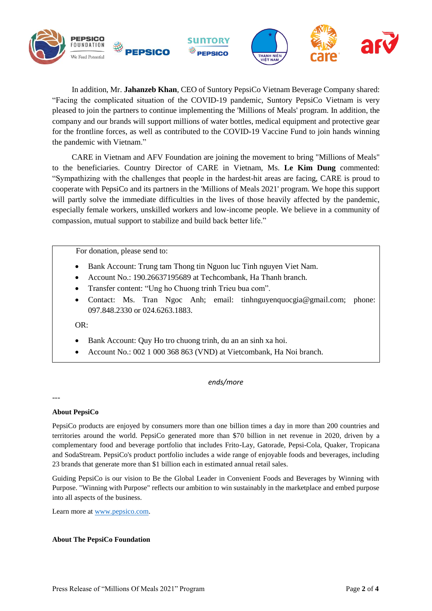

In addition, Mr. **Jahanzeb Khan**, CEO of Suntory PepsiCo Vietnam Beverage Company shared: "Facing the complicated situation of the COVID-19 pandemic, Suntory PepsiCo Vietnam is very pleased to join the partners to continue implementing the 'Millions of Meals' program. In addition, the company and our brands will support millions of water bottles, medical equipment and protective gear for the frontline forces, as well as contributed to the COVID-19 Vaccine Fund to join hands winning the pandemic with Vietnam."

CARE in Vietnam and AFV Foundation are joining the movement to bring "Millions of Meals" to the beneficiaries. Country Director of CARE in Vietnam, Ms. **Le Kim Dung** commented: "Sympathizing with the challenges that people in the hardest-hit areas are facing, CARE is proud to cooperate with PepsiCo and its partners in the 'Millions of Meals 2021' program. We hope this support will partly solve the immediate difficulties in the lives of those heavily affected by the pandemic, especially female workers, unskilled workers and low-income people. We believe in a community of compassion, mutual support to stabilize and build back better life."

For donation, please send to:

- Bank Account: Trung tam Thong tin Nguon luc Tinh nguyen Viet Nam.
- Account No.: 190.26637195689 at Techcombank, Ha Thanh branch.
- Transfer content: "Ung ho Chuong trinh Trieu bua com".
- Contact: Ms. Tran Ngoc Anh; email: tinhnguyenquocgia@gmail.com; phone: 097.848.2330 or 024.6263.1883.

OR:

- Bank Account: Quy Ho tro chuong trinh, du an an sinh xa hoi.
- Account No.: 002 1 000 368 863 (VND) at Vietcombank, Ha Noi branch.

# *ends/more*

---

# **About PepsiCo**

PepsiCo products are enjoyed by consumers more than one billion times a day in more than 200 countries and territories around the world. PepsiCo generated more than \$70 billion in net revenue in 2020, driven by a complementary food and beverage portfolio that includes Frito-Lay, Gatorade, Pepsi-Cola, Quaker, Tropicana and SodaStream. PepsiCo's product portfolio includes a wide range of enjoyable foods and beverages, including 23 brands that generate more than \$1 billion each in estimated annual retail sales.

Guiding PepsiCo is our vision to Be the Global Leader in Convenient Foods and Beverages by Winning with Purpose. "Winning with Purpose" reflects our ambition to win sustainably in the marketplace and embed purpose into all aspects of the business.

Learn more a[t www.pepsico.com.](http://www.pepsico.com/)

### **About The PepsiCo Foundation**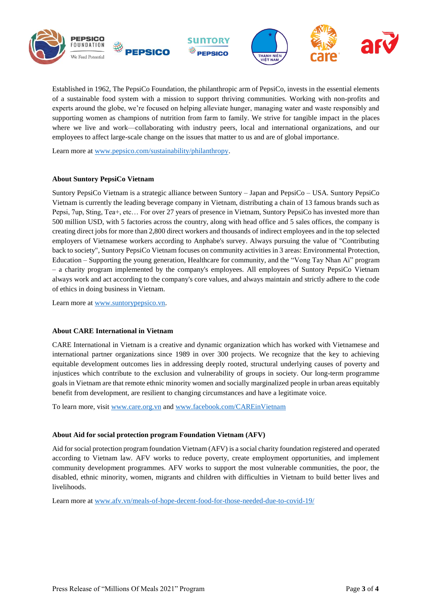

Established in 1962, The PepsiCo Foundation, the philanthropic arm of PepsiCo, invests in the essential elements of a sustainable food system with a mission to support thriving communities. Working with non-profits and experts around the globe, we're focused on helping alleviate hunger, managing water and waste responsibly and supporting women as champions of nutrition from farm to family. We strive for tangible impact in the places where we live and work—collaborating with industry peers, local and international organizations, and our employees to affect large-scale change on the issues that matter to us and are of global importance.

Learn more at [www.pepsico.com/sustainability/philanthropy.](http://www.pepsico.com/sustainability/philanthropy)

### **About Suntory PepsiCo Vietnam**

Suntory PepsiCo Vietnam is a strategic alliance between Suntory – Japan and PepsiCo – USA. Suntory PepsiCo Vietnam is currently the leading beverage company in Vietnam, distributing a chain of 13 famous brands such as Pepsi, 7up, Sting, Tea+, etc… For over 27 years of presence in Vietnam, Suntory PepsiCo has invested more than 500 million USD, with 5 factories across the country, along with head office and 5 sales offices, the company is creating direct jobs for more than 2,800 direct workers and thousands of indirect employees and in the top selected employers of Vietnamese workers according to Anphabe's survey. Always pursuing the value of "Contributing back to society", Suntory PepsiCo Vietnam focuses on community activities in 3 areas: Environmental Protection, Education – Supporting the young generation, Healthcare for community, and the "Vong Tay Nhan Ai" program – a charity program implemented by the company's employees. All employees of Suntory PepsiCo Vietnam always work and act according to the company's core values, and always maintain and strictly adhere to the code of ethics in doing business in Vietnam.

Learn more at [www.suntorypepsico.vn.](http://www.suntorypepsico.vn/)

### **About CARE International in Vietnam**

CARE International in Vietnam is a creative and dynamic organization which has worked with Vietnamese and international partner organizations since 1989 in over 300 projects. We recognize that the key to achieving equitable development outcomes lies in addressing deeply rooted, structural underlying causes of poverty and injustices which contribute to the exclusion and vulnerability of groups in society. Our long-term programme goals in Vietnam are that remote ethnic minority women and socially marginalized people in urban areas equitably benefit from development, are resilient to changing circumstances and have a legitimate voice.

To learn more, visit [www.care.org.vn](http://www.care.org.vn/) and [www.facebook.com/CAREinVietnam](http://www.facebook.com/CAREinVietnam)

### **About Aid for social protection program Foundation Vietnam (AFV)**

Aid for social protection program foundation Vietnam (AFV) is a social charity foundation registered and operated according to Vietnam law. AFV works to reduce poverty, create employment opportunities, and implement community development programmes. AFV works to support the most vulnerable communities, the poor, the disabled, ethnic minority, women, migrants and children with difficulties in Vietnam to build better lives and livelihoods.

Learn more at [www.afv.vn/meals-of-hope-decent-food-for-those-needed-due-to-covid-19/](http://www.afv.vn/meals-of-hope-decent-food-for-those-needed-due-to-covid-19/)